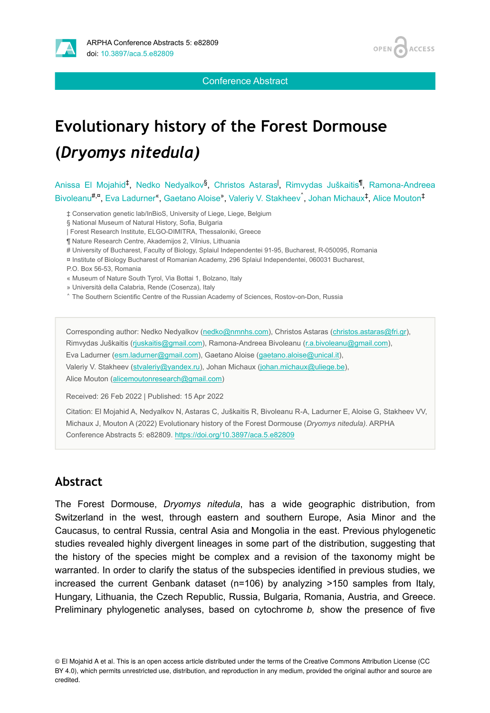

Conference Abstract

# **Evolutionary history of the Forest Dormouse (***Dryomys nitedula)*

Anissa El Mojahid<sup>‡</sup>, Nedko Nedyalkov<sup>§</sup>, Christos Astaras<sup>i</sup>, Rimvydas Juškaitis<sup>¶</sup>, Ramona-Andreea Bivoleanu<sup>#,¤</sup>, Eva Ladurner<sup>«</sup>, Gaetano Aloise», Valeriy V. Stakheev, Johan Michaux<sup>‡</sup>, Alice Mouton<sup>‡</sup>

- ‡ Conservation genetic lab/InBioS, University of Liege, Liege, Belgium
- § National Museum of Natural History, Sofia, Bulgaria
- | Forest Research Institute, ELGO-DIMITRA, Thessaloniki, Greece
- ¶ Nature Research Centre, Akademijos 2, Vilnius, Lithuania
- # University of Bucharest, Faculty of Biology, Splaiul Independentei 91-95, Bucharest, R-050095, Romania
- ¤ Institute of Biology Bucharest of Romanian Academy, 296 Splaiul Independentei, 060031 Bucharest,

P.O. Box 56-53, Romania

- « Museum of Nature South Tyrol, Via Bottai 1, Bolzano, Italy
- » Università della Calabria, Rende (Cosenza), Italy
- ˄ The Southern Scientific Centre of the Russian Academy of Sciences, Rostov-on-Don, Russia

Corresponding author: Nedko Nedyalkov ([nedko@nmnhs.com](mailto:nedko@nmnhs.com)), Christos Astaras [\(christos.astaras@fri.gr\)](mailto:christos.astaras@fri.gr), Rimvydas Juškaitis ([rjuskaitis@gmail.com\)](mailto:rjuskaitis@gmail.com), Ramona-Andreea Bivoleanu [\(r.a.bivoleanu@gmail.com](mailto:r.a.bivoleanu@gmail.com)), Eva Ladurner [\(esm.ladurner@gmail.com](mailto:esm.ladurner@gmail.com)), Gaetano Aloise [\(gaetano.aloise@unical.it](mailto:gaetano.aloise@unical.it)), Valeriy V. Stakheev [\(stvaleriy@yandex.ru\)](mailto:stvaleriy@yandex.ru), Johan Michaux [\(johan.michaux@uliege.be\)](mailto:johan.michaux@uliege.be), Alice Mouton ([alicemoutonresearch@gmail.com\)](mailto:alicemoutonresearch@gmail.com)

Received: 26 Feb 2022 | Published: 15 Apr 2022

Citation: El Mojahid A, Nedyalkov N, Astaras C, Juškaitis R, Bivoleanu R-A, Ladurner E, Aloise G, Stakheev VV, Michaux J, Mouton A (2022) Evolutionary history of the Forest Dormouse (*Dryomys nitedula)*. ARPHA Conference Abstracts 5: e82809. <https://doi.org/10.3897/aca.5.e82809>

#### **Abstract**

The Forest Dormouse, *Dryomys nitedula*, has a wide geographic distribution, from Switzerland in the west, through eastern and southern Europe, Asia Minor and the Caucasus, to central Russia, central Asia and Mongolia in the east. Previous phylogenetic studies revealed highly divergent lineages in some part of the distribution, suggesting that the history of the species might be complex and a revision of the taxonomy might be warranted. In order to clarify the status of the subspecies identified in previous studies, we increased the current Genbank dataset (n=106) by analyzing >150 samples from Italy, Hungary, Lithuania, the Czech Republic, Russia, Bulgaria, Romania, Austria, and Greece. Preliminary phylogenetic analyses, based on cytochrome *b,* show the presence of five

<sup>©</sup> El Mojahid A et al. This is an open access article distributed under the terms of the Creative Commons Attribution License (CC BY 4.0), which permits unrestricted use, distribution, and reproduction in any medium, provided the original author and source are credited.